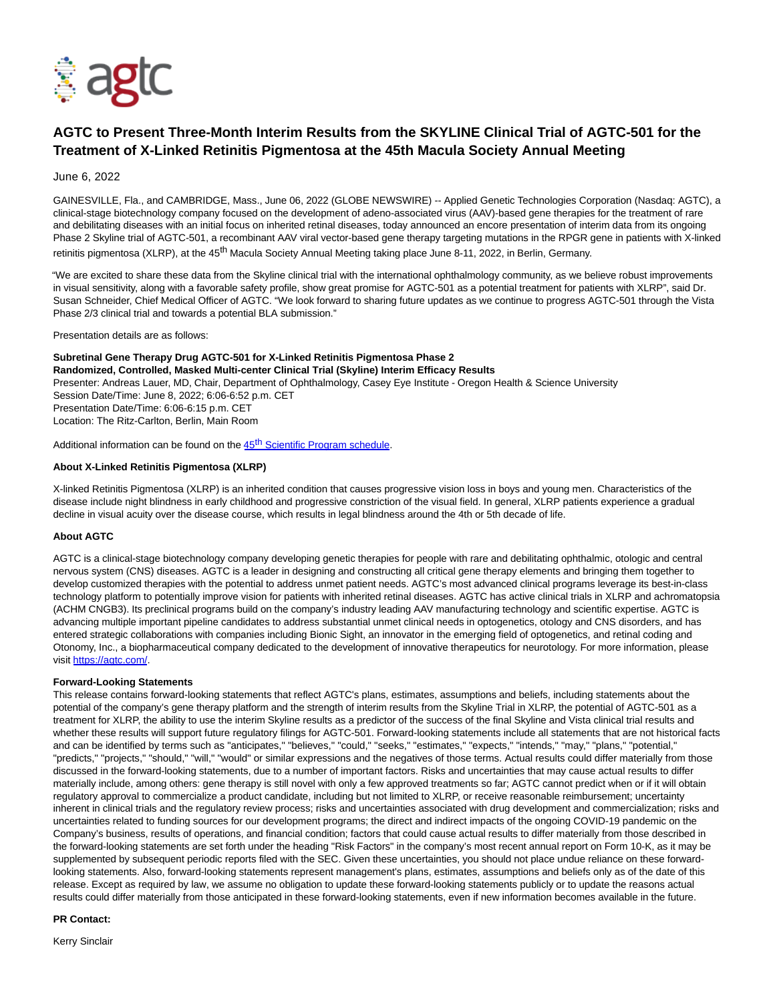

# **AGTC to Present Three-Month Interim Results from the SKYLINE Clinical Trial of AGTC-501 for the Treatment of X-Linked Retinitis Pigmentosa at the 45th Macula Society Annual Meeting**

### June 6, 2022

GAINESVILLE, Fla., and CAMBRIDGE, Mass., June 06, 2022 (GLOBE NEWSWIRE) -- Applied Genetic Technologies Corporation (Nasdaq: AGTC), a clinical-stage biotechnology company focused on the development of adeno-associated virus (AAV)-based gene therapies for the treatment of rare and debilitating diseases with an initial focus on inherited retinal diseases, today announced an encore presentation of interim data from its ongoing Phase 2 Skyline trial of AGTC-501, a recombinant AAV viral vector-based gene therapy targeting mutations in the RPGR gene in patients with X-linked retinitis pigmentosa (XLRP), at the 45<sup>th</sup> Macula Society Annual Meeting taking place June 8-11, 2022, in Berlin, Germany.

"We are excited to share these data from the Skyline clinical trial with the international ophthalmology community, as we believe robust improvements in visual sensitivity, along with a favorable safety profile, show great promise for AGTC-501 as a potential treatment for patients with XLRP", said Dr. Susan Schneider, Chief Medical Officer of AGTC. "We look forward to sharing future updates as we continue to progress AGTC-501 through the Vista Phase 2/3 clinical trial and towards a potential BLA submission."

Presentation details are as follows:

**Subretinal Gene Therapy Drug AGTC-501 for X-Linked Retinitis Pigmentosa Phase 2 Randomized, Controlled, Masked Multi-center Clinical Trial (Skyline) Interim Efficacy Results** Presenter: Andreas Lauer, MD, Chair, Department of Ophthalmology, Casey Eye Institute - Oregon Health & Science University Session Date/Time: June 8, 2022; 6:06-6:52 p.m. CET Presentation Date/Time: 6:06-6:15 p.m. CET Location: The Ritz-Carlton, Berlin, Main Room

Additional information can be found on the [45](https://www.globenewswire.com/Tracker?data=xaixu2CdxXHbrLIhy5yPMXzCAu8yAJiVJpPXquKIeWeZT8g7w4F8Y741jdhMvVMM9yPekRl6wdeHFYddeGtcs3e6sQhW3fsPtp2Kt2N1p7ND4EdCdFonEK06PbyoMVBKlv703hrDXvXV2DCVZeGPlbiTdM0YJ36ae-iTBB9wWh8=)<sup>[th](https://www.globenewswire.com/Tracker?data=83Lc8QYEZGF4MWw01QhTNHyyyDj5Cybj2anvhPhJ2GqstYdUyxP26dA8ly1CHu-OmZaVvzzT9fPgqO5Y7VWrcci-IYoGuqU9Wcs432kFGbhJeeuv5A1cw9gd5uwtHFJ6ooo5SKV5nehFNRBbiVmDwYdbv_j3OrC41yiv-s3KO9A=)</sup> [Scientific Program schedule.](https://www.globenewswire.com/Tracker?data=s3DJx0sTtbFReQGk5iD4-qjhcK3lOFJa4BpOaWTfQmAVW4M_AKLUbrbM1dJL8XAxJEQb4hlesmRI7ZwyyzgzfzeL_02Sczn4Pan_a_ue4heZwkAl3K8_I56p1IEMXSbP0ulGldf8KcFtg0BQDGQGnmIJDleFPOWnoD5qp2jtHOWOLqEvuR91mc22DenxwaT15Yu8jMalqPUKU86baKBY7A==)

# **About X-Linked Retinitis Pigmentosa (XLRP)**

X-linked Retinitis Pigmentosa (XLRP) is an inherited condition that causes progressive vision loss in boys and young men. Characteristics of the disease include night blindness in early childhood and progressive constriction of the visual field. In general, XLRP patients experience a gradual decline in visual acuity over the disease course, which results in legal blindness around the 4th or 5th decade of life.

#### **About AGTC**

AGTC is a clinical-stage biotechnology company developing genetic therapies for people with rare and debilitating ophthalmic, otologic and central nervous system (CNS) diseases. AGTC is a leader in designing and constructing all critical gene therapy elements and bringing them together to develop customized therapies with the potential to address unmet patient needs. AGTC's most advanced clinical programs leverage its best-in-class technology platform to potentially improve vision for patients with inherited retinal diseases. AGTC has active clinical trials in XLRP and achromatopsia (ACHM CNGB3). Its preclinical programs build on the company's industry leading AAV manufacturing technology and scientific expertise. AGTC is advancing multiple important pipeline candidates to address substantial unmet clinical needs in optogenetics, otology and CNS disorders, and has entered strategic collaborations with companies including Bionic Sight, an innovator in the emerging field of optogenetics, and retinal coding and Otonomy, Inc., a biopharmaceutical company dedicated to the development of innovative therapeutics for neurotology. For more information, please visit [https://agtc.com/.](https://www.globenewswire.com/Tracker?data=R36Cp3fuQfAxKrRtRx9nFu6qprvylUwOfn_lfW0c-1k4gx9OnErlvOV3aYuRWcbIhtVG44luYSj9zyex3PTJKI1YfX6z7LDi-1H-WRVnF9xLIthZIAhwug-EJs3ppppEing-4RPlJmuBV2LsM7C7kQ_sIqopuqJdHeZ92CpKvXqoepEKDI9maw6uya35MsfguXeymg3QAhFQrZW7zp3cwdlRcw1qCYeaTrTnCg1kRyI=)

#### **Forward-Looking Statements**

This release contains forward-looking statements that reflect AGTC's plans, estimates, assumptions and beliefs, including statements about the potential of the company's gene therapy platform and the strength of interim results from the Skyline Trial in XLRP, the potential of AGTC-501 as a treatment for XLRP, the ability to use the interim Skyline results as a predictor of the success of the final Skyline and Vista clinical trial results and whether these results will support future regulatory filings for AGTC-501. Forward-looking statements include all statements that are not historical facts and can be identified by terms such as "anticipates," "believes," "could," "seeks," "estimates," "expects," "intends," "may," "plans," "potential," "predicts," "projects," "should," "will," "would" or similar expressions and the negatives of those terms. Actual results could differ materially from those discussed in the forward-looking statements, due to a number of important factors. Risks and uncertainties that may cause actual results to differ materially include, among others: gene therapy is still novel with only a few approved treatments so far; AGTC cannot predict when or if it will obtain regulatory approval to commercialize a product candidate, including but not limited to XLRP, or receive reasonable reimbursement; uncertainty inherent in clinical trials and the regulatory review process; risks and uncertainties associated with drug development and commercialization; risks and uncertainties related to funding sources for our development programs; the direct and indirect impacts of the ongoing COVID-19 pandemic on the Company's business, results of operations, and financial condition; factors that could cause actual results to differ materially from those described in the forward-looking statements are set forth under the heading "Risk Factors" in the company's most recent annual report on Form 10-K, as it may be supplemented by subsequent periodic reports filed with the SEC. Given these uncertainties, you should not place undue reliance on these forwardlooking statements. Also, forward-looking statements represent management's plans, estimates, assumptions and beliefs only as of the date of this release. Except as required by law, we assume no obligation to update these forward-looking statements publicly or to update the reasons actual results could differ materially from those anticipated in these forward-looking statements, even if new information becomes available in the future.

#### **PR Contact:**

Kerry Sinclair